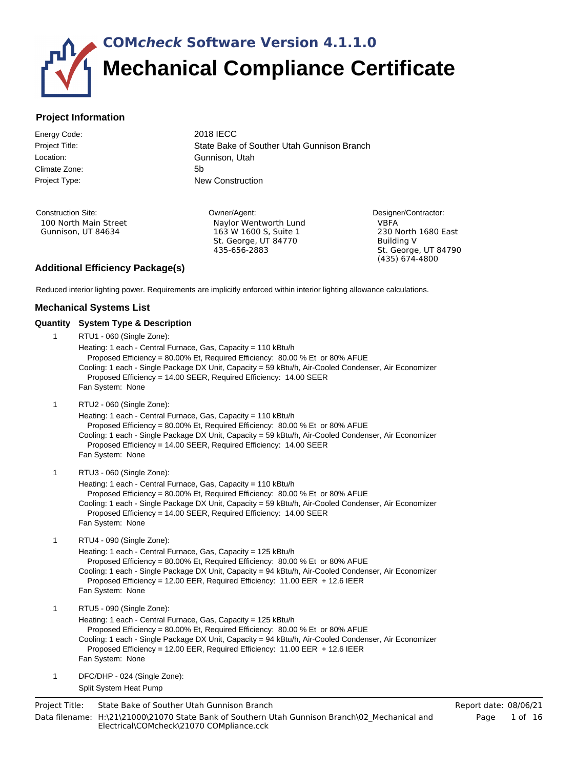# **COM***check* **Software Version 4.1.1.0 Mechanical Compliance Certificate**

### **Project Information**

Project Title: Climate Zone: 5b Energy Code:

2018 IECC Project Type: New Construction Location: Gunnison, Utah State Bake of Souther Utah Gunnison Branch

Construction Site: 100 North Main Street Gunnison, UT 84634

Owner/Agent: Naylor Wentworth Lund 163 W 1600 S, Suite 1 St. George, UT 84770 435-656-2883

Designer/Contractor: VBFA 230 North 1680 East Building V St. George, UT 84790 (435) 674-4800

# **Additional Efficiency Package(s)**

Reduced interior lighting power. Requirements are implicitly enforced within interior lighting allowance calculations.

## <span id="page-0-0"></span>**Mechanical Systems List**

#### **Quantity System Type & Description**

| $\mathbf{1}$ | RTU1 - 060 (Single Zone):<br>Heating: 1 each - Central Furnace, Gas, Capacity = 110 kBtu/h<br>Proposed Efficiency = 80.00% Et, Required Efficiency: 80.00 % Et or 80% AFUE<br>Cooling: 1 each - Single Package DX Unit, Capacity = 59 kBtu/h, Air-Cooled Condenser, Air Economizer<br>Proposed Efficiency = 14.00 SEER, Required Efficiency: 14.00 SEER<br>Fan System: None           |
|--------------|---------------------------------------------------------------------------------------------------------------------------------------------------------------------------------------------------------------------------------------------------------------------------------------------------------------------------------------------------------------------------------------|
| $\mathbf{1}$ | RTU2 - 060 (Single Zone):<br>Heating: 1 each - Central Furnace, Gas, Capacity = 110 kBtu/h<br>Proposed Efficiency = 80.00% Et, Required Efficiency: 80.00 % Et or 80% AFUE<br>Cooling: 1 each - Single Package DX Unit, Capacity = 59 kBtu/h, Air-Cooled Condenser, Air Economizer<br>Proposed Efficiency = 14.00 SEER, Required Efficiency: 14.00 SEER<br>Fan System: None           |
| 1            | RTU3 - 060 (Single Zone):<br>Heating: 1 each - Central Furnace, Gas, Capacity = 110 kBtu/h<br>Proposed Efficiency = 80.00% Et, Required Efficiency: 80.00 % Et or 80% AFUE<br>Cooling: 1 each - Single Package DX Unit, Capacity = 59 kBtu/h, Air-Cooled Condenser, Air Economizer<br>Proposed Efficiency = 14.00 SEER, Required Efficiency: 14.00 SEER<br>Fan System: None           |
| 1            | RTU4 - 090 (Single Zone):<br>Heating: 1 each - Central Furnace, Gas, Capacity = 125 kBtu/h<br>Proposed Efficiency = 80.00% Et, Required Efficiency: 80.00 % Et or 80% AFUE<br>Cooling: 1 each - Single Package DX Unit, Capacity = 94 kBtu/h, Air-Cooled Condenser, Air Economizer<br>Proposed Efficiency = 12.00 EER, Required Efficiency: 11.00 EER + 12.6 IEER<br>Fan System: None |
| 1            | RTU5 - 090 (Single Zone):<br>Heating: 1 each - Central Furnace, Gas, Capacity = 125 kBtu/h<br>Proposed Efficiency = 80.00% Et, Required Efficiency: 80.00 % Et or 80% AFUE<br>Cooling: 1 each - Single Package DX Unit, Capacity = 94 kBtu/h, Air-Cooled Condenser, Air Economizer<br>Proposed Efficiency = 12.00 EER, Required Efficiency: 11.00 EER + 12.6 IEER<br>Fan System: None |
| $\mathbf{1}$ | DFC/DHP - 024 (Single Zone):<br>Split System Heat Pump                                                                                                                                                                                                                                                                                                                                |
| ioct Titlo:  | State Bake of Souther Utah Gunnison Branch                                                                                                                                                                                                                                                                                                                                            |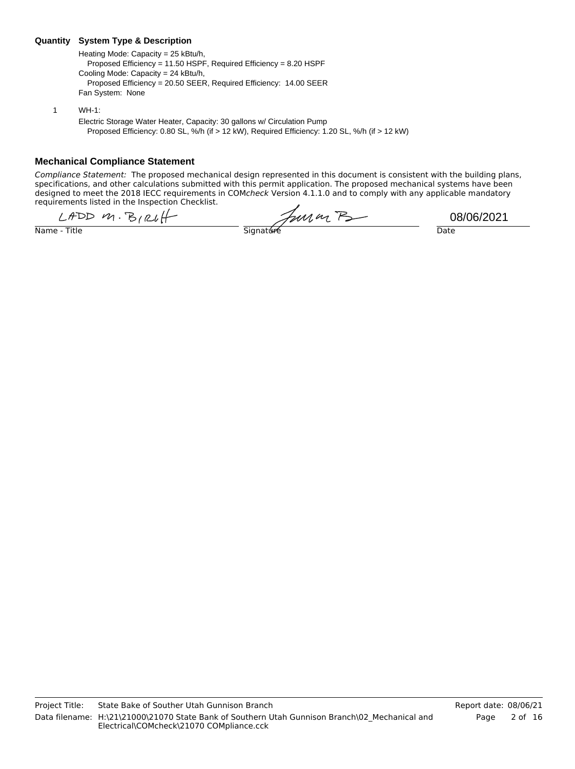#### **Quantity System Type & Description**

Heating Mode: Capacity = 25 kBtu/h, Proposed Efficiency = 11.50 HSPF, Required Efficiency = 8.20 HSPF Cooling Mode: Capacity = 24 kBtu/h, Proposed Efficiency = 20.50 SEER, Required Efficiency: 14.00 SEER Fan System: None

Electric Storage Water Heater, Capacity: 30 gallons w/ Circulation Pump Proposed Efficiency: 0.80 SL, %/h (if > 12 kW), Required Efficiency: 1.20 SL, %/h (if > 12 kW) 1 WH-1:

#### **Mechanical Compliance Statement**

*Compliance Statement:* The proposed mechanical design represented in this document is consistent with the building plans, specifications, and other calculations submitted with this permit application. The proposed mechanical systems have been designed to meet the 2018 IECC requirements in COM*check* Version 4.1.1.0 and to comply with any applicable mandatory requirements listed in the Inspection Checklist.

LADD  $M.$  BIRUH

Zura B

Name - Title Date Date Communication Communication Communication Communication Communication Date

08/06/2021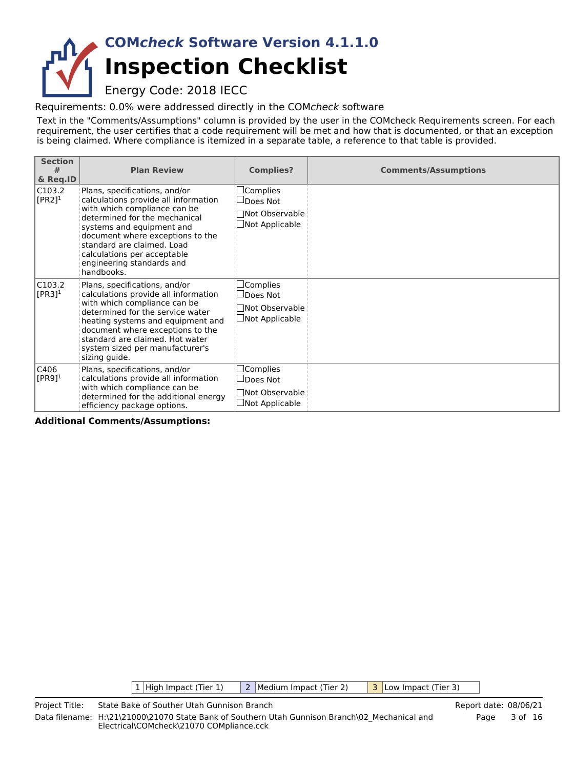# **Inspection Checklist COM***check* **Software Version 4.1.1.0**

Energy Code: 2018 IECC

Requirements: 0.0% were addressed directly in the COM*check* software

Text in the "Comments/Assumptions" column is provided by the user in the COMcheck Requirements screen. For each requirement, the user certifies that a code requirement will be met and how that is documented, or that an exception is being claimed. Where compliance is itemized in a separate table, a reference to that table is provided.

| <b>Section</b><br>#<br>& Reg.ID            | <b>Plan Review</b>                                                                                                                                                                                                                                                                                              | <b>Complies?</b>                                                               | <b>Comments/Assumptions</b> |
|--------------------------------------------|-----------------------------------------------------------------------------------------------------------------------------------------------------------------------------------------------------------------------------------------------------------------------------------------------------------------|--------------------------------------------------------------------------------|-----------------------------|
| C103.2<br>$[PR2]$ <sup>1</sup>             | Plans, specifications, and/or<br>calculations provide all information<br>with which compliance can be<br>determined for the mechanical<br>systems and equipment and<br>document where exceptions to the<br>standard are claimed. Load<br>calculations per acceptable<br>engineering standards and<br>handbooks. | $\Box$ Complies<br>$\Box$ Does Not<br>□Not Observable<br>$\Box$ Not Applicable |                             |
| C <sub>103.2</sub><br>$[PR3]$ <sup>1</sup> | Plans, specifications, and/or<br>calculations provide all information<br>with which compliance can be<br>determined for the service water<br>heating systems and equipment and<br>document where exceptions to the<br>standard are claimed. Hot water<br>system sized per manufacturer's<br>sizing guide.       | $\Box$ Complies<br>$\Box$ Does Not<br>□Not Observable<br>$\Box$ Not Applicable |                             |
| C406<br>$[PR9]$ <sup>1</sup>               | Plans, specifications, and/or<br>calculations provide all information<br>with which compliance can be<br>determined for the additional energy<br>efficiency package options.                                                                                                                                    | $\Box$ Complies<br>$\Box$ Does Not<br>□Not Observable<br>$\Box$ Not Applicable |                             |

**Additional Comments/Assumptions:**

 $\vert 1 \vert$  High Impact (Tier 1)  $\vert 2 \vert$  Medium Impact (Tier 2)  $\vert 3 \vert$  Low Impact (Tier 3)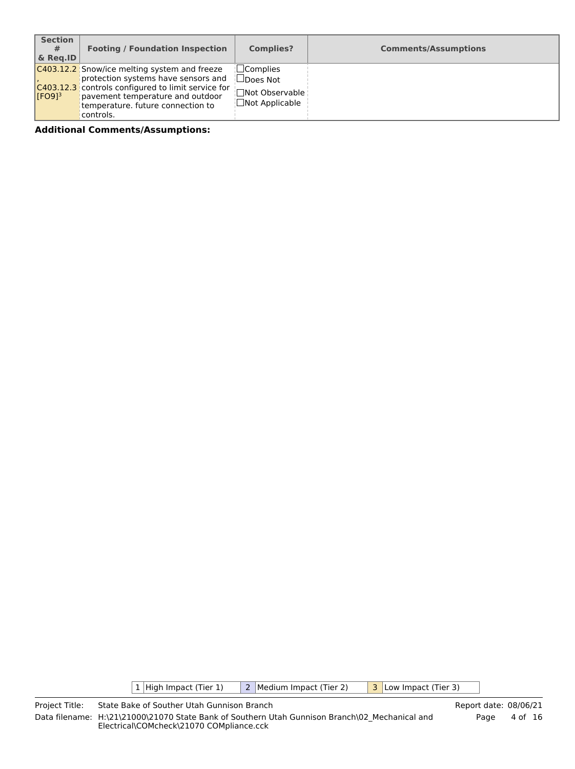| <b>Section</b><br>#<br>& Reg.ID | <b>Footing / Foundation Inspection</b>                                                                                                                                                                                          | <b>Complies?</b>                                               | <b>Comments/Assumptions</b> |
|---------------------------------|---------------------------------------------------------------------------------------------------------------------------------------------------------------------------------------------------------------------------------|----------------------------------------------------------------|-----------------------------|
| IFO91 <sup>3</sup>              | C403.12.2 Snow/ice melting system and freeze<br>protection systems have sensors and<br>C403.12.3 controls configured to limit service for<br>pavement temperature and outdoor<br>temperature, future connection to<br>controls. | ¦∟Complies<br>⊡Does Not<br> □Not Observable<br>□Not Applicable |                             |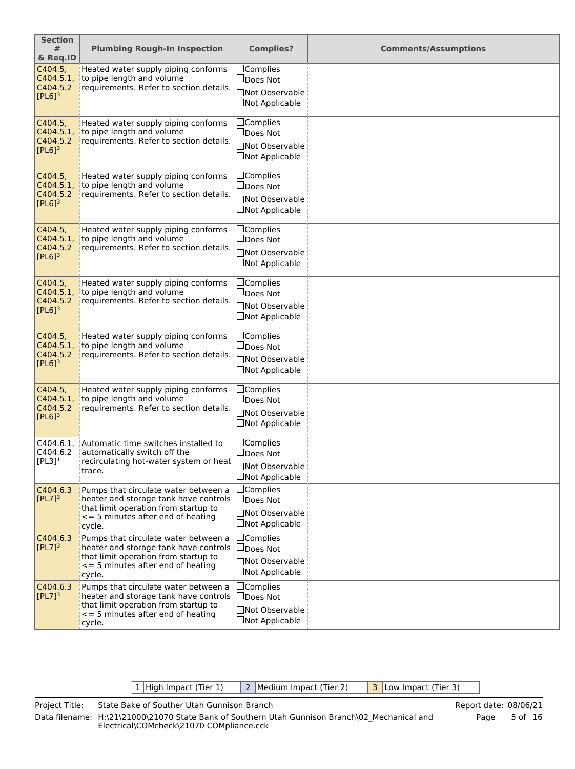| <b>Section</b><br>#<br>& Req.ID                          | <b>Plumbing Rough-In Inspection</b>                                                                                                                                        | <b>Complies?</b>                                                                       | <b>Comments/Assumptions</b> |
|----------------------------------------------------------|----------------------------------------------------------------------------------------------------------------------------------------------------------------------------|----------------------------------------------------------------------------------------|-----------------------------|
| C404.5,<br>C404.5.1,<br>C404.5.2<br>$[PL6]$ <sup>3</sup> | Heated water supply piping conforms<br>to pipe length and volume<br>requirements. Refer to section details.                                                                | $\Box$ Complies<br>$\Box$ Does Not<br>□Not Observable<br>$\Box$ Not Applicable         |                             |
| C404.5,<br>C404.5.1,<br>C404.5.2<br>$[PL6]$ <sup>3</sup> | Heated water supply piping conforms<br>to pipe length and volume<br>requirements. Refer to section details.                                                                | $\Box$ Complies<br>$\Box$ Does Not<br>□Not Observable<br>$\Box$ Not Applicable         |                             |
| C404.5,<br>C404.5.1<br>C404.5.2<br>$[PL6]$ <sup>3</sup>  | Heated water supply piping conforms<br>to pipe length and volume<br>requirements. Refer to section details.                                                                | $\Box$ Complies<br>$\Box$ Does Not<br>□Not Observable<br>$\Box$ Not Applicable         |                             |
| C404.5,<br>C404.5.1,<br>C404.5.2<br>$[PL6]$ <sup>3</sup> | Heated water supply piping conforms<br>to pipe length and volume<br>requirements. Refer to section details.                                                                | $\Box$ Complies<br>$\Box$ Does Not<br>□Not Observable<br>□Not Applicable               |                             |
| C404.5,<br>C404.5.1<br>C404.5.2<br>$[PL6]$ <sup>3</sup>  | Heated water supply piping conforms<br>to pipe length and volume<br>requirements. Refer to section details.                                                                | $\Box$ Complies<br>$\Box$ Does Not<br>□Not Observable<br>$\Box$ Not Applicable         |                             |
| C404.5,<br>C404.5.1<br>C404.5.2<br>$[PL6]$ <sup>3</sup>  | Heated water supply piping conforms<br>to pipe length and volume<br>requirements. Refer to section details.                                                                | $\Box$ Complies<br>$\Box$ Does Not<br>□Not Observable<br>$\Box$ Not Applicable         |                             |
| C404.5,<br>C404.5.1<br>C404.5.2<br>$[PL6]$ <sup>3</sup>  | Heated water supply piping conforms<br>to pipe length and volume<br>requirements. Refer to section details.                                                                | $\Box$ Complies<br>$\Box$ Does Not<br>$\Box$ Not Observable<br>$\Box$ Not Applicable   |                             |
| C404.6.1<br>C404.6.2<br>$[PL3]$ <sup>1</sup>             | Automatic time switches installed to<br>automatically switch off the<br>recirculating hot-water system or heat<br>trace.                                                   | $\Box$ Complies<br>$\Box$ Does Not<br>$\sqcap$ Not Observable<br>$\Box$ Not Applicable |                             |
| C404.6.3<br>$[PL7]$ <sup>3</sup>                         | Pumps that circulate water between a<br>heater and storage tank have controls<br>that limit operation from startup to<br>$\leq$ 5 minutes after end of heating<br>cycle.   | $\Box$ Complies<br><b>Does Not</b><br>□Not Observable<br>$\Box$ Not Applicable         |                             |
| C404.6.3<br>$[PL7]$ <sup>3</sup>                         | Pumps that circulate water between a<br>heater and storage tank have controls<br>that limit operation from startup to<br>$\leq$ = 5 minutes after end of heating<br>cycle. | $\Box$ Complies<br>∐Does Not<br>□Not Observable<br>$\Box$ Not Applicable               |                             |
| C404.6.3<br>$[PL7]$ <sup>3</sup>                         | Pumps that circulate water between a<br>heater and storage tank have controls<br>that limit operation from startup to<br>$\leq$ 5 minutes after end of heating<br>cycle.   | $\Box$ Complies<br><b>Does Not</b><br>□Not Observable<br>$\Box$ Not Applicable         |                             |

| 3 Low Impact (Tier 3)<br>2 Medium Impact (Tier 2)<br>1 High Impact (Tier 1) |  |
|-----------------------------------------------------------------------------|--|
|-----------------------------------------------------------------------------|--|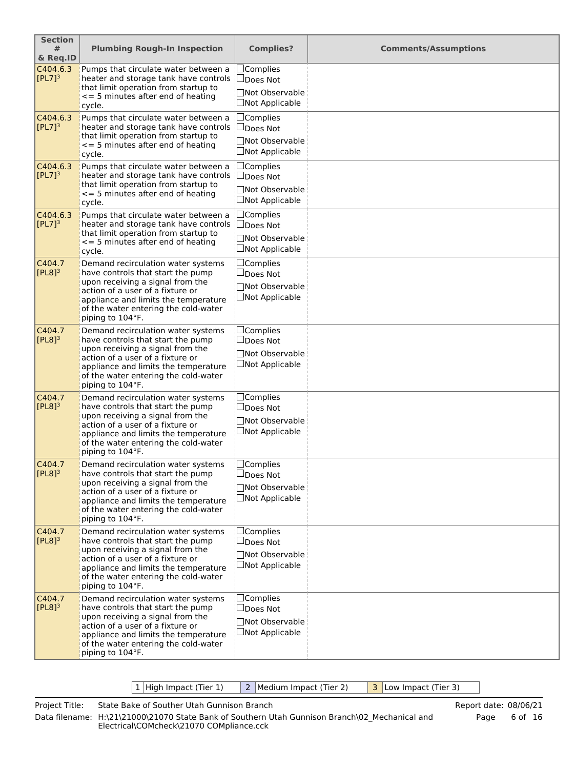| <b>Section</b><br>#<br>& Req.ID  | <b>Plumbing Rough-In Inspection</b>                                                                                                                                                                                                                 | <b>Complies?</b>                                                                 | <b>Comments/Assumptions</b> |
|----------------------------------|-----------------------------------------------------------------------------------------------------------------------------------------------------------------------------------------------------------------------------------------------------|----------------------------------------------------------------------------------|-----------------------------|
| C404.6.3<br>$[PL7]$ <sup>3</sup> | Pumps that circulate water between a<br>heater and storage tank have controls<br>that limit operation from startup to<br>$\leq$ = 5 minutes after end of heating<br>cycle.                                                                          | $\Box$ Complies<br>∐Does Not<br>□Not Observable<br>$\Box$ Not Applicable         |                             |
| C404.6.3<br>$[PL7]$ <sup>3</sup> | Pumps that circulate water between a<br>heater and storage tank have controls<br>that limit operation from startup to<br>$\leq$ 5 minutes after end of heating<br>cycle.                                                                            | $\Box$ Complies<br><b>□</b> Does Not<br>□Not Observable<br>$\Box$ Not Applicable |                             |
| C404.6.3<br>$[PL7]$ <sup>3</sup> | Pumps that circulate water between a<br>heater and storage tank have controls<br>that limit operation from startup to<br><= 5 minutes after end of heating<br>cycle.                                                                                | $\Box$ Complies<br>∣∟Does Not<br>□Not Observable<br>$\Box$ Not Applicable        |                             |
| C404.6.3<br>$[PL7]$ <sup>3</sup> | Pumps that circulate water between a<br>heater and storage tank have controls<br>that limit operation from startup to<br>$\leq$ = 5 minutes after end of heating<br>cycle.                                                                          | $\Box$ Complies<br><b>Does Not</b><br>□Not Observable<br>□Not Applicable         |                             |
| C404.7<br>$[PL8]$ <sup>3</sup>   | Demand recirculation water systems<br>have controls that start the pump<br>upon receiving a signal from the<br>action of a user of a fixture or<br>appliance and limits the temperature<br>of the water entering the cold-water<br>piping to 104°F. | $\Box$ Complies<br>$\Box$ Does Not<br>□Not Observable<br>$\Box$ Not Applicable   |                             |
| C404.7<br>$[PL8]$ <sup>3</sup>   | Demand recirculation water systems<br>have controls that start the pump<br>upon receiving a signal from the<br>action of a user of a fixture or<br>appliance and limits the temperature<br>of the water entering the cold-water<br>piping to 104°F. | $\Box$ Complies<br>$\Box$ Does Not<br>□Not Observable<br>$\Box$ Not Applicable   |                             |
| C404.7<br>$[PL8]$ <sup>3</sup>   | Demand recirculation water systems<br>have controls that start the pump<br>upon receiving a signal from the<br>action of a user of a fixture or<br>appliance and limits the temperature<br>of the water entering the cold-water<br>piping to 104°F. | $\Box$ Complies<br>$\Box$ Does Not<br>□Not Observable<br>$\Box$ Not Applicable   |                             |
| C404.7<br>$[PL8]$ <sup>3</sup>   | Demand recirculation water systems<br>have controls that start the pump<br>upon receiving a signal from the<br>action of a user of a fixture or<br>appliance and limits the temperature<br>of the water entering the cold-water<br>piping to 104°F. | $\Box$ Complies<br>□Does Not<br>□Not Observable<br>$\Box$ Not Applicable         |                             |
| C404.7<br>$[PL8]$ <sup>3</sup>   | Demand recirculation water systems<br>have controls that start the pump<br>upon receiving a signal from the<br>action of a user of a fixture or<br>appliance and limits the temperature<br>of the water entering the cold-water<br>piping to 104°F. | $\Box$ Complies<br>$\Box$ Does Not<br>□Not Observable<br>$\Box$ Not Applicable   |                             |
| C404.7<br>$[PL8]$ <sup>3</sup>   | Demand recirculation water systems<br>have controls that start the pump<br>upon receiving a signal from the<br>action of a user of a fixture or<br>appliance and limits the temperature<br>of the water entering the cold-water<br>piping to 104°F. | $\Box$ Complies<br>$\Box$ Does Not<br>□Not Observable<br>$\Box$ Not Applicable   |                             |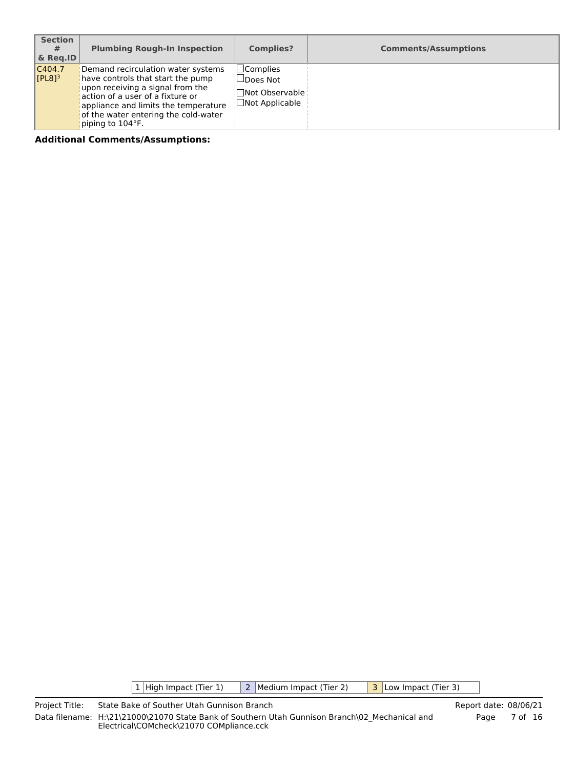| <b>Section</b><br>#<br>& Reg.ID | <b>Plumbing Rough-In Inspection</b>                                                                                                                                                                                                                 | <b>Complies?</b>                                                | <b>Comments/Assumptions</b> |
|---------------------------------|-----------------------------------------------------------------------------------------------------------------------------------------------------------------------------------------------------------------------------------------------------|-----------------------------------------------------------------|-----------------------------|
| C404.7<br>$[PL8]$ <sup>3</sup>  | Demand recirculation water systems<br>have controls that start the pump<br>upon receiving a signal from the<br>action of a user of a fixture or<br>appliance and limits the temperature<br>of the water entering the cold-water<br>piping to 104°F. | ∣□Complies<br>∣∟Does Not<br>¦∏Not Observable<br>□Not Applicable |                             |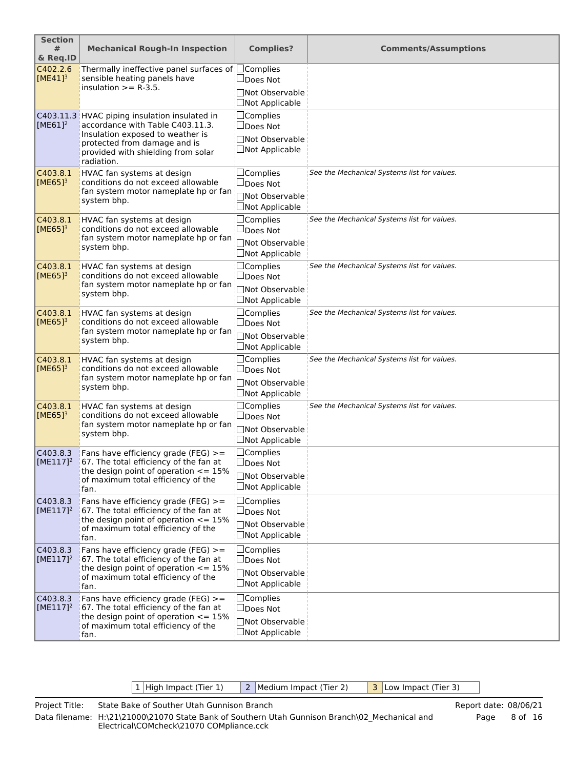| <b>Section</b><br>#<br>& Req.ID    | <b>Mechanical Rough-In Inspection</b>                                                                                       | <b>Complies?</b>                                | <b>Comments/Assumptions</b>                 |
|------------------------------------|-----------------------------------------------------------------------------------------------------------------------------|-------------------------------------------------|---------------------------------------------|
| C402.2.6<br>$[ME41]$ <sup>3</sup>  | Thermally ineffective panel surfaces of □Complies<br>sensible heating panels have<br>insulation $>=$ R-3.5.                 | $\Box$ Does Not                                 |                                             |
|                                    |                                                                                                                             | □Not Observable<br>$\Box$ Not Applicable        |                                             |
| IME611 <sup>2</sup>                | C403.11.3 HVAC piping insulation insulated in<br>accordance with Table C403.11.3.                                           | $\Box$ Complies<br>$\Box$ Does Not              |                                             |
|                                    | Insulation exposed to weather is<br>protected from damage and is<br>provided with shielding from solar<br>radiation.        | □Not Observable<br>$\Box$ Not Applicable        |                                             |
| C403.8.1<br>$[ME65]$ <sup>3</sup>  | HVAC fan systems at design<br>conditions do not exceed allowable<br>fan system motor nameplate hp or fan                    | $\Box$ Complies<br>$\Box$ Does Not              | See the Mechanical Systems list for values. |
|                                    | system bhp.                                                                                                                 | <b>□Not Observable</b><br>$\Box$ Not Applicable |                                             |
| C403.8.1<br>$[ME65]$ <sup>3</sup>  | HVAC fan systems at design<br>conditions do not exceed allowable                                                            | $\Box$ Complies<br>$\Box$ Does Not              | See the Mechanical Systems list for values. |
|                                    | fan system motor nameplate hp or fan<br>system bhp.                                                                         | □Not Observable<br>$\Box$ Not Applicable        |                                             |
| C403.8.1<br>$[ME65]$ <sup>3</sup>  | HVAC fan systems at design<br>conditions do not exceed allowable                                                            | $\Box$ Complies<br>$\Box$ Does Not              | See the Mechanical Systems list for values. |
|                                    | fan system motor nameplate hp or fan<br>system bhp.                                                                         | □Not Observable<br>$\Box$ Not Applicable        |                                             |
| C403.8.1<br>$[ME65]$ <sup>3</sup>  | HVAC fan systems at design<br>conditions do not exceed allowable                                                            | $\Box$ Complies<br>$\Box$ Does Not              | See the Mechanical Systems list for values. |
|                                    | fan system motor nameplate hp or fan<br>system bhp.                                                                         | □Not Observable<br>$\Box$ Not Applicable        |                                             |
| C403.8.1<br>$[ME65]$ <sup>3</sup>  | HVAC fan systems at design<br>conditions do not exceed allowable                                                            | $\Box$ Complies<br>$\Box$ Does Not              | See the Mechanical Systems list for values. |
|                                    | fan system motor nameplate hp or fan<br>system bhp.                                                                         | □Not Observable<br>$\Box$ Not Applicable        |                                             |
| C403.8.1<br>$[ME65]$ <sup>3</sup>  | HVAC fan systems at design<br>conditions do not exceed allowable                                                            | $\Box$ Complies<br>$\Box$ Does Not              | See the Mechanical Systems list for values. |
|                                    | fan system motor nameplate hp or fan<br>system bhp.                                                                         | □Not Observable<br>$\Box$ Not Applicable        |                                             |
| C403.8.3<br>$[ME117]^{2}$          | Fans have efficiency grade (FEG) $>=$<br>67. The total efficiency of the fan at<br>the design point of operation $\leq$ 15% | $\Box$ Complies<br>$\square$ Does Not           |                                             |
|                                    | of maximum total efficiency of the<br>fan.                                                                                  | □Not Observable<br>$\Box$ Not Applicable        |                                             |
| C403.8.3<br>$[ME117]$ <sup>2</sup> | Fans have efficiency grade (FEG) $>=$<br>67. The total efficiency of the fan at                                             | $\Box$ Complies<br>$\Box$ Does Not              |                                             |
|                                    | the design point of operation $\leq$ = 15%<br>of maximum total efficiency of the<br>fan.                                    | □Not Observable<br>$\Box$ Not Applicable        |                                             |
| C403.8.3<br>$[ME117]$ <sup>2</sup> | Fans have efficiency grade (FEG) >=<br>67. The total efficiency of the fan at                                               | $\Box$ Complies<br>$\Box$ Does Not              |                                             |
|                                    | the design point of operation $\leq$ 15%<br>of maximum total efficiency of the<br>fan.                                      | □Not Observable<br>$\Box$ Not Applicable        |                                             |
| C403.8.3<br>$[ME117]^{2}$          | Fans have efficiency grade (FEG) $>=$<br>67. The total efficiency of the fan at                                             | $\Box$ Complies<br>$\Box$ Does Not              |                                             |
|                                    | the design point of operation $\leq$ 15%<br>of maximum total efficiency of the<br>fan.                                      | □Not Observable<br>$\Box$ Not Applicable        |                                             |
|                                    |                                                                                                                             |                                                 |                                             |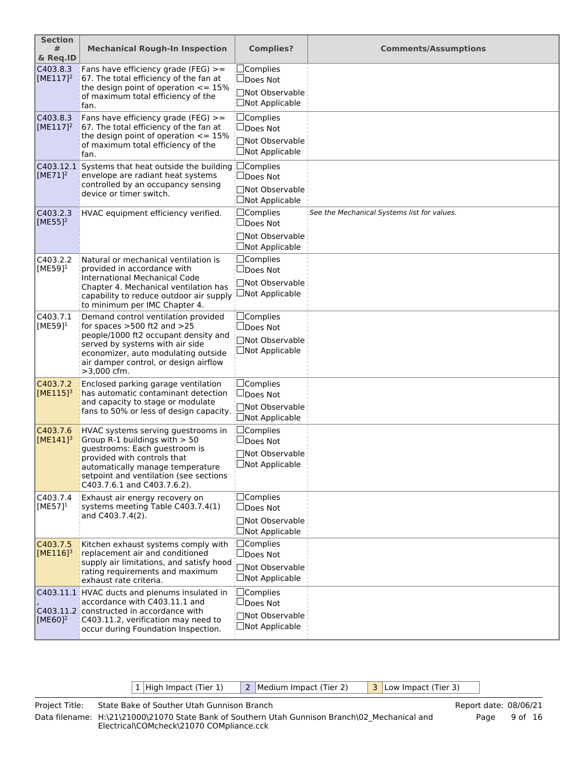| <b>Section</b><br>#<br>& Req.ID    | <b>Mechanical Rough-In Inspection</b>                                                                                                                                                                                                              | <b>Complies?</b>                                                                        | <b>Comments/Assumptions</b>                 |
|------------------------------------|----------------------------------------------------------------------------------------------------------------------------------------------------------------------------------------------------------------------------------------------------|-----------------------------------------------------------------------------------------|---------------------------------------------|
| C403.8.3<br>$[ME117]^{2}$          | Fans have efficiency grade (FEG) $>=$<br>67. The total efficiency of the fan at<br>the design point of operation $\leq$ = 15%<br>of maximum total efficiency of the<br>fan.                                                                        | $\Box$ Complies<br>∐Does Not<br>□Not Observable<br>$\Box$ Not Applicable                |                                             |
| C403.8.3<br>$[ME117]^{2}$          | Fans have efficiency grade (FEG) $>=$<br>67. The total efficiency of the fan at<br>the design point of operation $\leq$ 15%<br>of maximum total efficiency of the<br>fan.                                                                          | $\Box$ Complies<br>∣∐Does Not<br>□Not Observable<br>□Not Applicable                     |                                             |
| [ME71] <sup>2</sup>                | C403.12.1 Systems that heat outside the building <b>Complies</b><br>envelope are radiant heat systems<br>controlled by an occupancy sensing<br>device or timer switch.                                                                             | $\Box$ Does Not<br>□Not Observable<br>$\Box$ Not Applicable                             |                                             |
| C403.2.3<br>$[ME55]$ <sup>2</sup>  | HVAC equipment efficiency verified.                                                                                                                                                                                                                | $\Box$ Complies<br>$\Box$ Does Not<br>□Not Observable<br>□Not Applicable                | See the Mechanical Systems list for values. |
| C403.2.2<br>[ME59] $1$             | Natural or mechanical ventilation is<br>provided in accordance with<br>International Mechanical Code<br>Chapter 4. Mechanical ventilation has<br>capability to reduce outdoor air supply<br>to minimum per IMC Chapter 4.                          | $\Box$ Complies<br>$\Box$ Does Not<br>□Not Observable<br>$\Box$ Not Applicable          |                                             |
| C403.7.1<br>$[ME59]$ <sup>1</sup>  | Demand control ventilation provided<br>for spaces $>500$ ft2 and $>25$<br>people/1000 ft2 occupant density and<br>served by systems with air side<br>economizer, auto modulating outside<br>air damper control, or design airflow<br>>3,000 cfm.   | $\Box$ Complies<br>∐Does Not<br>□Not Observable<br>$\Box$ Not Applicable                |                                             |
| C403.7.2<br>$[ME115]^{3}$          | Enclosed parking garage ventilation<br>has automatic contaminant detection<br>and capacity to stage or modulate<br>fans to 50% or less of design capacity.                                                                                         | $\Box$ Complies<br>$\Box$ Does Not<br>$\Box$ Not Observable<br>$\Box$ Not Applicable    |                                             |
| C403.7.6<br>$[ME141]$ <sup>3</sup> | HVAC systems serving guestrooms in<br>Group R-1 buildings with $> 50$<br>questrooms: Each questroom is<br>provided with controls that<br>automatically manage temperature<br>setpoint and ventilation (see sections<br>C403.7.6.1 and C403.7.6.2). | $\Box$ Complies<br>$\Box$ Does Not<br>Not Observable<br>$\Box$ Not Applicable           |                                             |
| C403.7.4<br>$[ME57]$ <sup>1</sup>  | Exhaust air energy recovery on<br>systems meeting Table C403.7.4(1)<br>and C403.7.4(2).                                                                                                                                                            | $\Box$ Complies<br>$\Box$ Does Not<br><b>□Not Observable</b><br><b>□Not Applicable</b>  |                                             |
| C403.7.5<br>$[ME116]^{3}$          | Kitchen exhaust systems comply with<br>replacement air and conditioned<br>supply air limitations, and satisfy hood<br>rating requirements and maximum<br>exhaust rate criteria.                                                                    | ⊡Complies<br>□Does Not<br>□Not Observable<br>□Not Applicable                            |                                             |
| [ME60] <sup>2</sup>                | C403.11.1 HVAC ducts and plenums insulated in<br>accordance with C403.11.1 and<br>C403.11.2 constructed in accordance with<br>C403.11.2, verification may need to<br>occur during Foundation Inspection.                                           | $\Box$ Complies<br>$\Box$ Does Not<br><b>Not Observable</b><br>$\square$ Not Applicable |                                             |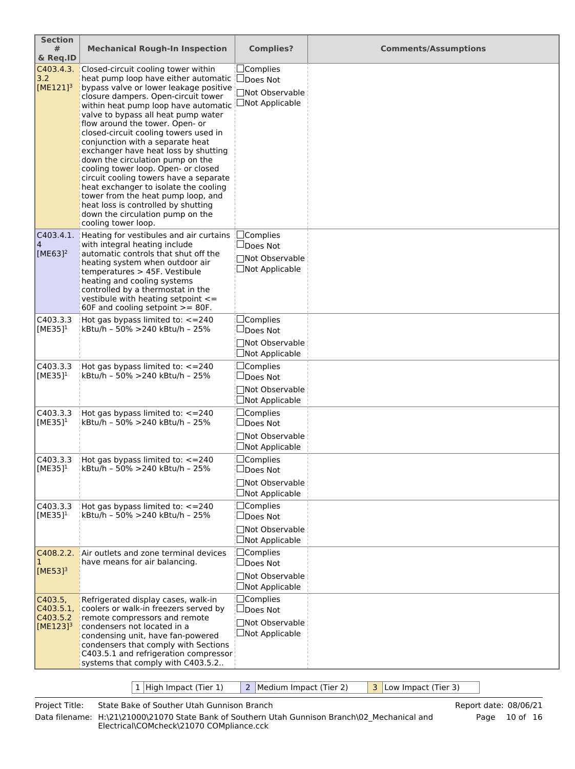| <b>Section</b><br>#                                        | <b>Mechanical Rough-In Inspection</b>                                                                                                                                                                                                                                                                                                                                                                                                                                                                                                                                                                                                                                                                                              | <b>Complies?</b>                                                                       | <b>Comments/Assumptions</b> |
|------------------------------------------------------------|------------------------------------------------------------------------------------------------------------------------------------------------------------------------------------------------------------------------------------------------------------------------------------------------------------------------------------------------------------------------------------------------------------------------------------------------------------------------------------------------------------------------------------------------------------------------------------------------------------------------------------------------------------------------------------------------------------------------------------|----------------------------------------------------------------------------------------|-----------------------------|
| & Req.ID                                                   |                                                                                                                                                                                                                                                                                                                                                                                                                                                                                                                                                                                                                                                                                                                                    |                                                                                        |                             |
| C403.4.3.<br>3.2<br>$[ME121]$ <sup>3</sup>                 | Closed-circuit cooling tower within<br>heat pump loop have either automatic Dpoes Not<br>bypass valve or lower leakage positive<br>closure dampers. Open-circuit tower<br>within heat pump loop have automatic Not Applicable<br>valve to bypass all heat pump water<br>flow around the tower. Open- or<br>closed-circuit cooling towers used in<br>conjunction with a separate heat<br>exchanger have heat loss by shutting<br>down the circulation pump on the<br>cooling tower loop. Open- or closed<br>circuit cooling towers have a separate<br>heat exchanger to isolate the cooling<br>tower from the heat pump loop, and<br>heat loss is controlled by shutting<br>down the circulation pump on the<br>cooling tower loop. | $\Box$ Complies<br>7Not Observable                                                     |                             |
| C403.4.1.<br>$\overline{4}$<br><b>IME6312</b>              | Heating for vestibules and air curtains<br>with integral heating include<br>automatic controls that shut off the<br>heating system when outdoor air<br>temperatures > 45F. Vestibule<br>heating and cooling systems<br>controlled by a thermostat in the<br>vestibule with heating setpoint $\leq$<br>60F and cooling setpoint $>=$ 80F.                                                                                                                                                                                                                                                                                                                                                                                           | $\Box$ Complies<br>$\Box$ Does Not<br>□Not Observable<br>$\Box$ Not Applicable         |                             |
| C403.3.3<br>$[ME35]$ <sup>1</sup>                          | Hot gas bypass limited to: $\lt$ =240<br>kBtu/h - 50% > 240 kBtu/h - 25%                                                                                                                                                                                                                                                                                                                                                                                                                                                                                                                                                                                                                                                           | $\Box$ Complies<br>$\sqcup$ Does Not<br>□Not Observable<br>$\Box$ Not Applicable       |                             |
| C403.3.3<br>$[ME35]$ <sup>1</sup>                          | Hot gas bypass limited to: $\lt$ =240<br>kBtu/h - 50% > 240 kBtu/h - 25%                                                                                                                                                                                                                                                                                                                                                                                                                                                                                                                                                                                                                                                           | $\Box$ Complies<br>$\sqcup$ Does Not<br><b>Not Observable</b><br>$\Box$ Not Applicable |                             |
| C403.3.3<br>$[ME35]$ <sup>1</sup>                          | Hot gas bypass limited to: $\epsilon$ = 240<br>kBtu/h - 50% > 240 kBtu/h - 25%                                                                                                                                                                                                                                                                                                                                                                                                                                                                                                                                                                                                                                                     | $\Box$ Complies<br>$\Box$ Does Not<br><b>Not Observable</b><br>□Not Applicable         |                             |
| C403.3.3<br>$[ME35]^{1}$                                   | Hot gas bypass limited to: $\epsilon$ = 240<br>kBtu/h - 50% > 240 kBtu/h - 25%                                                                                                                                                                                                                                                                                                                                                                                                                                                                                                                                                                                                                                                     | $\Box$ Complies<br>$\Box$ Does Not<br>□Not Observable<br>□Not Applicable               |                             |
| C403.3.3<br>$[ME35]$ <sup>1</sup>                          | Hot gas bypass limited to: $\lt$ =240<br>kBtu/h - 50% > 240 kBtu/h - 25%                                                                                                                                                                                                                                                                                                                                                                                                                                                                                                                                                                                                                                                           | $\Box$ Complies<br>$\Box$ Does Not<br>□Not Observable<br>□Not Applicable               |                             |
| C408.2.2.<br>1<br>$[ME53]$ <sup>3</sup>                    | Air outlets and zone terminal devices<br>have means for air balancing.                                                                                                                                                                                                                                                                                                                                                                                                                                                                                                                                                                                                                                                             | $\Box$ Complies<br>∐Does Not<br>□Not Observable<br>□Not Applicable                     |                             |
| C403.5,<br>C403.5.1,<br>C403.5.2<br>$[ME123]$ <sup>3</sup> | Refrigerated display cases, walk-in<br>coolers or walk-in freezers served by<br>remote compressors and remote<br>condensers not located in a<br>condensing unit, have fan-powered<br>condensers that comply with Sections<br>C403.5.1 and refrigeration compressor<br>systems that comply with C403.5.2                                                                                                                                                                                                                                                                                                                                                                                                                            | $\Box$ Complies<br>□Does Not<br>□Not Observable<br>□Not Applicable                     |                             |

| 1 | High Impact (Tier 1)  $\begin{array}{|c|c|c|c|c|c|}\n\hline\n2 & \text{Median Impact (Tier 2)} & \text{3} & \text{Low Impact (Tier 3)} \\
\hline\n\end{array}$ 

Project Title: Data filename: H:\21\21000\21070 State Bank of Southern Utah Gunnison Branch\02\_Mechanical and State Bake of Souther Utah Gunnison Branch Electrical\COMcheck\21070 COMpliance.cck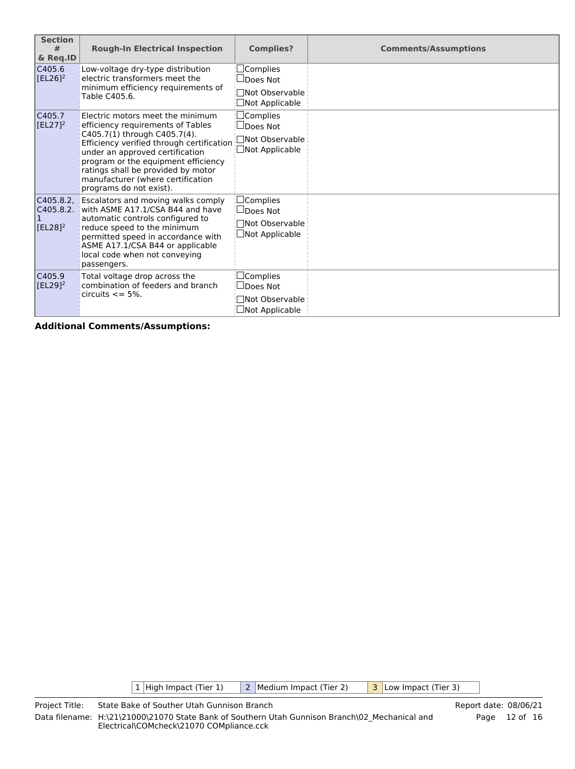| <b>Section</b><br>#<br>& Req.ID             | <b>Rough-In Electrical Inspection</b>                                                                                                                                                                                                                                                                                               | <b>Complies?</b>                                                                 | <b>Comments/Assumptions</b> |
|---------------------------------------------|-------------------------------------------------------------------------------------------------------------------------------------------------------------------------------------------------------------------------------------------------------------------------------------------------------------------------------------|----------------------------------------------------------------------------------|-----------------------------|
| C405.6<br>$\left $ [EL26] <sup>2</sup>      | Low-voltage dry-type distribution<br>electric transformers meet the                                                                                                                                                                                                                                                                 | $\Box$ Complies<br>$\Box$ Does Not                                               |                             |
|                                             | minimum efficiency requirements of<br>Table C405.6.                                                                                                                                                                                                                                                                                 | □Not Observable<br>$\Box$ Not Applicable                                         |                             |
| C405.7<br>$[EL27]^{2}$                      | Electric motors meet the minimum<br>efficiency requirements of Tables<br>C405.7(1) through C405.7(4).<br>Efficiency verified through certification<br>under an approved certification<br>program or the equipment efficiency<br>ratings shall be provided by motor                                                                  | $\Box$ Complies<br>$\sqcup$ Does Not<br>□Not Observable<br>$\Box$ Not Applicable |                             |
| C405.8.2.<br>C405.8.2.<br>1<br>$[EL28]^{2}$ | manufacturer (where certification<br>programs do not exist).<br>Escalators and moving walks comply<br>with ASME A17.1/CSA B44 and have<br>automatic controls configured to<br>reduce speed to the minimum<br>permitted speed in accordance with<br>ASME A17.1/CSA B44 or applicable<br>local code when not conveying<br>passengers. | $\Box$ Complies<br>$\Box$ Does Not<br>□Not Observable<br>$\Box$ Not Applicable   |                             |
| C405.9<br>$[EL29]^{2}$                      | Total voltage drop across the<br>combination of feeders and branch<br>$circuits \leq 5\%.$                                                                                                                                                                                                                                          | $\Box$ Complies<br>$\Box$ Does Not<br>□Not Observable<br>$\Box$ Not Applicable   |                             |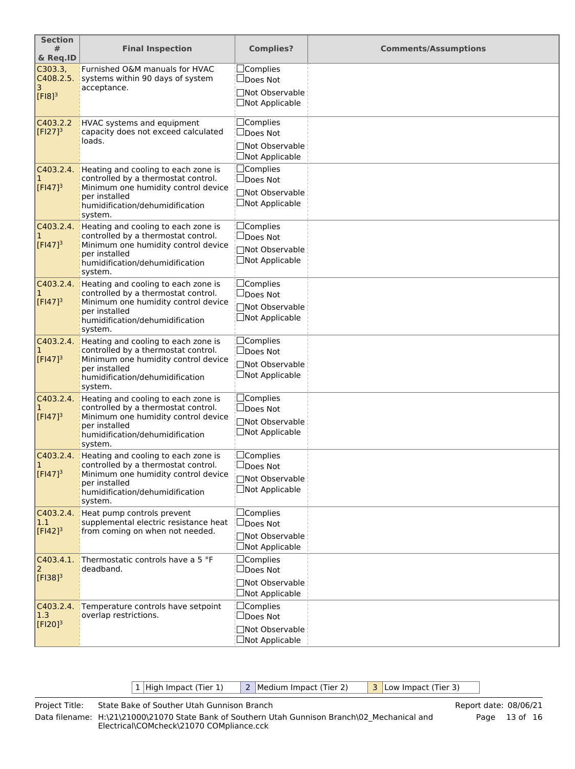| <b>Section</b><br>#<br>& Req.ID                   | <b>Final Inspection</b>                                                                                                                                                          | <b>Complies?</b>                                                               | <b>Comments/Assumptions</b> |
|---------------------------------------------------|----------------------------------------------------------------------------------------------------------------------------------------------------------------------------------|--------------------------------------------------------------------------------|-----------------------------|
| C303.3,<br>C408.2.5.<br>3<br>$[F18]$ <sup>3</sup> | Furnished O&M manuals for HVAC<br>systems within 90 days of system<br>acceptance.                                                                                                | $\Box$ Complies<br>$\Box$ Does Not<br>□Not Observable<br>$\Box$ Not Applicable |                             |
| C403.2.2<br>$[F127]$ <sup>3</sup>                 | HVAC systems and equipment<br>capacity does not exceed calculated<br>loads.                                                                                                      | $\Box$ Complies<br>∐Does Not<br>□Not Observable<br>$\Box$ Not Applicable       |                             |
| C403.2.4.<br>1<br>$[Fl47]^{3}$                    | Heating and cooling to each zone is<br>controlled by a thermostat control.<br>Minimum one humidity control device<br>per installed<br>humidification/dehumidification<br>system. | □Complies<br>∐Does Not<br>□Not Observable<br>$\Box$ Not Applicable             |                             |
| C403.2.4.<br>1<br>$[Fl47]^{3}$                    | Heating and cooling to each zone is<br>controlled by a thermostat control.<br>Minimum one humidity control device<br>per installed<br>humidification/dehumidification<br>system. | $\Box$ Complies<br>$\Box$ Does Not<br>□Not Observable<br>$\Box$ Not Applicable |                             |
| C403.2.4.<br>1<br>$[Fl47]^{3}$                    | Heating and cooling to each zone is<br>controlled by a thermostat control.<br>Minimum one humidity control device<br>per installed<br>humidification/dehumidification<br>system. | $\Box$ Complies<br>∐Does Not<br>□Not Observable<br>$\square$ Not Applicable    |                             |
| C403.2.4.<br>1<br>$[Fl47]^{3}$                    | Heating and cooling to each zone is<br>controlled by a thermostat control.<br>Minimum one humidity control device<br>per installed<br>humidification/dehumidification<br>system. | $\Box$ Complies<br>∐Does Not<br>□Not Observable<br>$\Box$ Not Applicable       |                             |
| C403.2.4.<br>1<br>$[FI47]^{3}$                    | Heating and cooling to each zone is<br>controlled by a thermostat control.<br>Minimum one humidity control device<br>per installed<br>humidification/dehumidification<br>system. | $\Box$ Complies<br>$\Box$ Does Not<br>□Not Observable<br>$\Box$ Not Applicable |                             |
| C403.2.4.<br>1<br>$ [F147]^3 $                    | Heating and cooling to each zone is<br>controlled by a thermostat control.<br>Minimum one humidity control device<br>per installed<br>humidification/dehumidification<br>system. | $\Box$ Complies<br>$\Box$ Does Not<br>□Not Observable<br>$\Box$ Not Applicable |                             |
| C403.2.4.<br>1.1<br>$[Fl42]^{3}$                  | Heat pump controls prevent<br>supplemental electric resistance heat<br>from coming on when not needed.                                                                           | $\Box$ Complies<br>∐Does Not<br>□Not Observable<br>$\Box$ Not Applicable       |                             |
| C403.4.1.<br>2<br>$[$ [FI38] <sup>3</sup>         | Thermostatic controls have a 5 °F<br>deadband.                                                                                                                                   | $\Box$ Complies<br>$\Box$ Does Not<br>□Not Observable<br>$\Box$ Not Applicable |                             |
| C403.2.4.<br>1.3<br>$[Fl20]^{3}$                  | Temperature controls have setpoint<br>overlap restrictions.                                                                                                                      | $\Box$ Complies<br>$\Box$ Does Not<br>□Not Observable<br>$\Box$ Not Applicable |                             |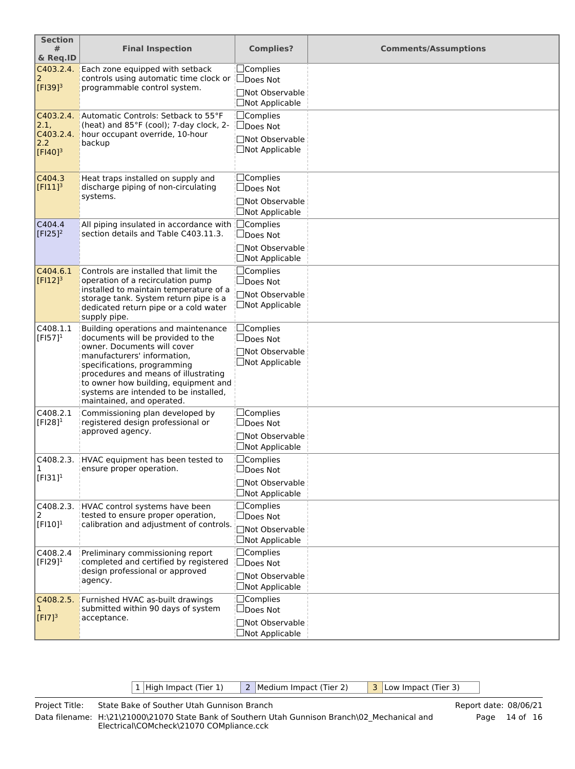| <b>Section</b><br>#<br>& Req.ID                   | <b>Final Inspection</b>                                                                                                                                                                                                                                                                                                     | <b>Complies?</b>                                | <b>Comments/Assumptions</b> |
|---------------------------------------------------|-----------------------------------------------------------------------------------------------------------------------------------------------------------------------------------------------------------------------------------------------------------------------------------------------------------------------------|-------------------------------------------------|-----------------------------|
| C403.2.4.<br>2<br>$[$ FI39] <sup>3</sup>          | Each zone equipped with setback<br>controls using automatic time clock or<br>programmable control system.                                                                                                                                                                                                                   | $\Box$ Complies<br>∐Does Not                    |                             |
|                                                   |                                                                                                                                                                                                                                                                                                                             | □Not Observable<br><b>□Not Applicable</b>       |                             |
| C403.2.4.<br>2.1,                                 | Automatic Controls: Setback to 55°F<br>(heat) and 85°F (cool); 7-day clock, 2-                                                                                                                                                                                                                                              | $\Box$ Complies<br>∐Does Not                    |                             |
| C403.2.4.<br>2.2<br>$[$ FI40] <sup>3</sup>        | hour occupant override, 10-hour<br>backup                                                                                                                                                                                                                                                                                   | □Not Observable<br>$\square$ Not Applicable     |                             |
| C404.3<br>$[$ FI11 $]$ <sup>3</sup>               | Heat traps installed on supply and<br>discharge piping of non-circulating                                                                                                                                                                                                                                                   | $\Box$ Complies<br>$\Box$ Does Not              |                             |
|                                                   | systems.                                                                                                                                                                                                                                                                                                                    | <b>Not Observable</b><br><b>□Not Applicable</b> |                             |
| C404.4<br>$[FI25]^{2}$                            | All piping insulated in accordance with <b>Complies</b><br>section details and Table C403.11.3.                                                                                                                                                                                                                             | $\square$ Does Not                              |                             |
|                                                   |                                                                                                                                                                                                                                                                                                                             | <b>Not Observable</b><br>$\Box$ Not Applicable  |                             |
| C404.6.1<br>$[FI12]$ <sup>3</sup>                 | Controls are installed that limit the<br>operation of a recirculation pump<br>installed to maintain temperature of a                                                                                                                                                                                                        | $\Box$ Complies<br>∣∟Does Not                   |                             |
|                                                   | storage tank. System return pipe is a<br>dedicated return pipe or a cold water<br>supply pipe.                                                                                                                                                                                                                              | □Not Observable<br>$\Box$ Not Applicable        |                             |
| C408.1.1<br>$[FI57]^{1}$                          | Building operations and maintenance<br>documents will be provided to the<br>owner. Documents will cover<br>manufacturers' information,<br>specifications, programming<br>procedures and means of illustrating<br>to owner how building, equipment and<br>systems are intended to be installed,<br>maintained, and operated. | $\Box$ Complies<br>$\Box$ Does Not              |                             |
|                                                   |                                                                                                                                                                                                                                                                                                                             | □Not Observable<br>$\Box$ Not Applicable        |                             |
| C408.2.1<br>$[FI28]^{1}$                          | Commissioning plan developed by<br>registered design professional or<br>approved agency.                                                                                                                                                                                                                                    | $\Box$ Complies<br>$\Box$ Does Not              |                             |
|                                                   |                                                                                                                                                                                                                                                                                                                             | □Not Observable<br><b>□Not Applicable</b>       |                             |
| C408.2.3.<br>  1                                  | HVAC equipment has been tested to<br>ensure proper operation.                                                                                                                                                                                                                                                               | ∣□Complies<br><b>□</b> Does Not                 |                             |
| $\vert$ [FI31] $^1$                               |                                                                                                                                                                                                                                                                                                                             | □Not Observable<br>□Not Applicable              |                             |
| C408.2.3.<br>2                                    | HVAC control systems have been<br>tested to ensure proper operation,<br>calibration and adjustment of controls.                                                                                                                                                                                                             | $\Box$ Complies<br>□Does Not                    |                             |
| $[FI10]^{1}$                                      |                                                                                                                                                                                                                                                                                                                             | □Not Observable<br><b>□Not Applicable</b>       |                             |
| C408.2.4<br>$[FI29]^{1}$                          | Preliminary commissioning report<br>completed and certified by registered<br>design professional or approved<br>agency.                                                                                                                                                                                                     | $\Box$ Complies<br>□Does Not                    |                             |
|                                                   |                                                                                                                                                                                                                                                                                                                             | □Not Observable<br>□Not Applicable              |                             |
| C408.2.5.<br>$\mathbf{1}$<br>$[F17]$ <sup>3</sup> | Furnished HVAC as-built drawings<br>submitted within 90 days of system<br>acceptance.                                                                                                                                                                                                                                       | $\Box$ Complies<br>□Does Not                    |                             |
|                                                   |                                                                                                                                                                                                                                                                                                                             | □Not Observable<br>□Not Applicable              |                             |